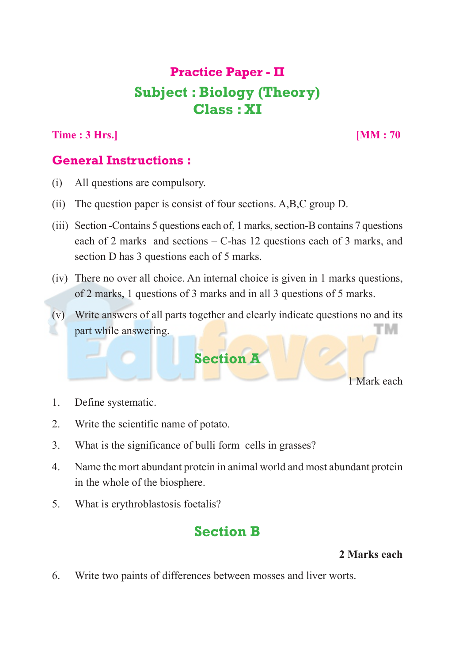# **Practice Paper - II Subject : Biology (Theory) Class : XI**

**Time : 3 Hrs.**] **[MM : 70** 

### **General Instructions :**

- (i) All questions are compulsory.
- (ii) The question paper is consist of four sections. A,B,C group D.
- (iii) Section -Contains 5 questions each of, 1 marks, section-B contains 7 questions each of 2 marks and sections – C-has 12 questions each of 3 marks, and section D has 3 questions each of 5 marks.
- (iv) There no over all choice. An internal choice is given in 1 marks questions, of 2 marks, 1 questions of 3 marks and in all 3 questions of 5 marks.
- (v) Write answers of all parts together and clearly indicate questions no and its гм part while answering.



1 Mark each

- 1. Define systematic.
- 2. Write the scientific name of potato.
- 3. What is the significance of bulli form cells in grasses?
- 4. Name the mort abundant protein in animal world and most abundant protein in the whole of the biosphere.
- 5. What is erythroblastosis foetalis?

# **Section B**

### **2 Marks each**

6. Write two paints of differences between mosses and liver worts.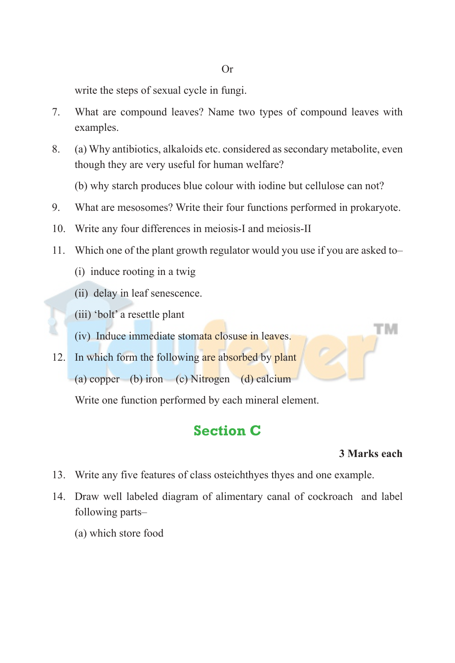write the steps of sexual cycle in fungi.

- 7. What are compound leaves? Name two types of compound leaves with examples.
- 8. (a) Why antibiotics, alkaloids etc. considered as secondary metabolite, even though they are very useful for human welfare?

(b) why starch produces blue colour with iodine but cellulose can not?

- 9. What are mesosomes? Write their four functions performed in prokaryote.
- 10. Write any four differences in meiosis-I and meiosis-II
- 11. Which one of the plant growth regulator would you use if you are asked to–
	- (i) induce rooting in a twig
	- (ii) delay in leaf senescence.
	- (iii) 'bolt' a resettle plant

(iv) Induce immediate stomata closuse in leaves.

12. In which form the following are absorbed by plant (a) copper (b) iron (c) Nitrogen (d) calcium

Write one function performed by each mineral element.

### **Section C**

#### **3 Marks each**

гм

- 13. Write any five features of class osteichthyes thyes and one example.
- 14. Draw well labeled diagram of alimentary canal of cockroach and label following parts–
	- (a) which store food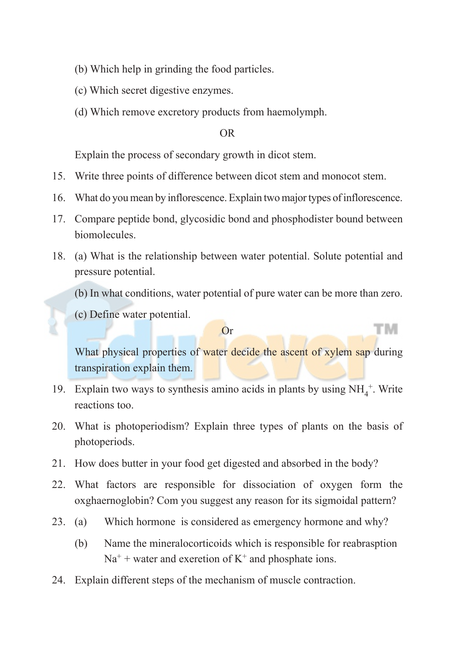- (b) Which help in grinding the food particles.
- (c) Which secret digestive enzymes.
- (d) Which remove excretory products from haemolymph.

#### OR

Explain the process of secondary growth in dicot stem.

- 15. Write three points of difference between dicot stem and monocot stem.
- 16. What do you mean by inflorescence. Explain two major types of inflorescence.
- 17. Compare peptide bond, glycosidic bond and phosphodister bound between biomolecules.
- 18. (a) What is the relationship between water potential. Solute potential and pressure potential.
	- (b) In what conditions, water potential of pure water can be more than zero.
	- (c) Define water potential.

#### Or

What physical properties of water decide the ascent of xylem sap during transpiration explain them.

ГM

- 19. Explain two ways to synthesis amino acids in plants by using  $NH_4^+$ . Write reactions too.
- 20. What is photoperiodism? Explain three types of plants on the basis of photoperiods.
- 21. How does butter in your food get digested and absorbed in the body?
- 22. What factors are responsible for dissociation of oxygen form the oxghaernoglobin? Com you suggest any reason for its sigmoidal pattern?
- 23. (a) Which hormone is considered as emergency hormone and why?
	- (b) Name the mineralocorticoids which is responsible for reabrasption  $Na<sup>+</sup>$  + water and exeretion of  $K<sup>+</sup>$  and phosphate ions.
- 24. Explain different steps of the mechanism of muscle contraction.